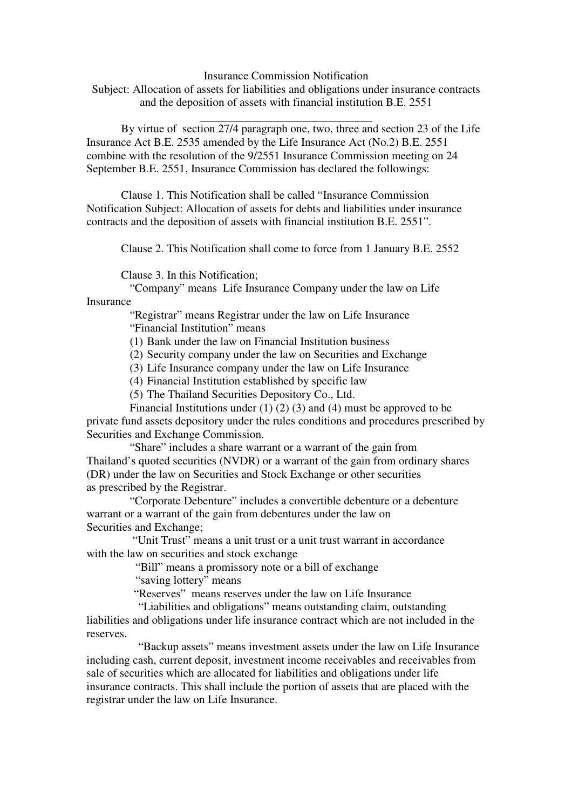Insurance Commission Notification

Subject: Allocation of assets for liabilities and obligations under insurance contracts and the deposition of assets with financial institution B.E. 2551

 $\overline{a}$ By virtue of section 27/4 paragraph one, two, three and section 23 of the Life Insurance Act B.E. 2535 amended by the Life Insurance Act (No.2) B.E. 2551 combine with the resolution of the 9/2551 Insurance Commission meeting on 24 September B.E. 2551, Insurance Commission has declared the followings:

Clause 1. This Notification shall be called "Insurance Commission Notification Subject: Allocation of assets for debts and liabilities under insurance contracts and the deposition of assets with financial institution B.E. 2551".

Clause 2. This Notification shall come to force from 1 January B.E. 2552

Clause 3. In this Notification;

 "Company" means Life Insurance Company under the law on Life Insurance

> "Registrar" means Registrar under the law on Life Insurance "Financial Institution" means

(1) Bank under the law on Financial Institution business

(2) Security company under the law on Securities and Exchange

(3) Life Insurance company under the law on Life Insurance

(4) Financial Institution established by specific law

(5) The Thailand Securities Depository Co., Ltd.

Financial Institutions under  $(1)$   $(2)$   $(3)$  and  $(4)$  must be approved to be private fund assets depository under the rules conditions and procedures prescribed by Securities and Exchange Commission.

 "Share" includes a share warrant or a warrant of the gain from Thailand's quoted securities (NVDR) or a warrant of the gain from ordinary shares (DR) under the law on Securities and Stock Exchange or other securities as prescribed by the Registrar.

 "Corporate Debenture" includes a convertible debenture or a debenture warrant or a warrant of the gain from debentures under the law on Securities and Exchange;

 "Unit Trust" means a unit trust or a unit trust warrant in accordance with the law on securities and stock exchange

"Bill" means a promissory note or a bill of exchange

"saving lottery" means

"Reserves" means reserves under the law on Life Insurance

"Liabilities and obligations" means outstanding claim, outstanding liabilities and obligations under life insurance contract which are not included in the reserves.

"Backup assets" means investment assets under the law on Life Insurance including cash, current deposit, investment income receivables and receivables from sale of securities which are allocated for liabilities and obligations under life insurance contracts. This shall include the portion of assets that are placed with the registrar under the law on Life Insurance.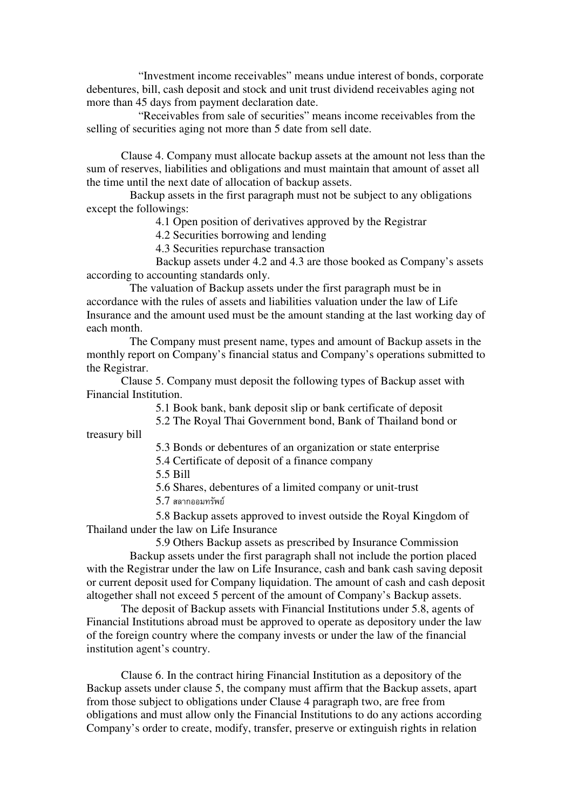"Investment income receivables" means undue interest of bonds, corporate debentures, bill, cash deposit and stock and unit trust dividend receivables aging not more than 45 days from payment declaration date.

"Receivables from sale of securities" means income receivables from the selling of securities aging not more than 5 date from sell date.

Clause 4. Company must allocate backup assets at the amount not less than the sum of reserves, liabilities and obligations and must maintain that amount of asset all the time until the next date of allocation of backup assets.

 Backup assets in the first paragraph must not be subject to any obligations except the followings:

4.1 Open position of derivatives approved by the Registrar

4.2 Securities borrowing and lending

4.3 Securities repurchase transaction

 Backup assets under 4.2 and 4.3 are those booked as Company's assets according to accounting standards only.

 The valuation of Backup assets under the first paragraph must be in accordance with the rules of assets and liabilities valuation under the law of Life Insurance and the amount used must be the amount standing at the last working day of each month.

 The Company must present name, types and amount of Backup assets in the monthly report on Company's financial status and Company's operations submitted to the Registrar.

Clause 5. Company must deposit the following types of Backup asset with Financial Institution.

5.1 Book bank, bank deposit slip or bank certificate of deposit

 5.2 The Royal Thai Government bond, Bank of Thailand bond or treasury bill

5.3 Bonds or debentures of an organization or state enterprise

5.4 Certificate of deposit of a finance company

5.5 Bill

5.6 Shares, debentures of a limited company or unit-trust

 $5.7\,$  สลากออมทรัพย์

 5.8 Backup assets approved to invest outside the Royal Kingdom of Thailand under the law on Life Insurance

5.9 Others Backup assets as prescribed by Insurance Commission

 Backup assets under the first paragraph shall not include the portion placed with the Registrar under the law on Life Insurance, cash and bank cash saving deposit or current deposit used for Company liquidation. The amount of cash and cash deposit altogether shall not exceed 5 percent of the amount of Company's Backup assets.

The deposit of Backup assets with Financial Institutions under 5.8, agents of Financial Institutions abroad must be approved to operate as depository under the law of the foreign country where the company invests or under the law of the financial institution agent's country.

Clause 6. In the contract hiring Financial Institution as a depository of the Backup assets under clause 5, the company must affirm that the Backup assets, apart from those subject to obligations under Clause 4 paragraph two, are free from obligations and must allow only the Financial Institutions to do any actions according Company's order to create, modify, transfer, preserve or extinguish rights in relation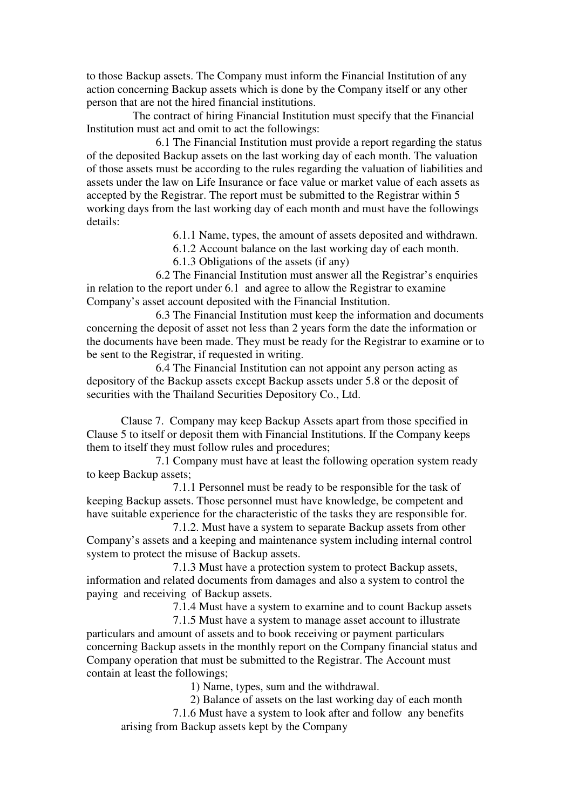to those Backup assets. The Company must inform the Financial Institution of any action concerning Backup assets which is done by the Company itself or any other person that are not the hired financial institutions.

 The contract of hiring Financial Institution must specify that the Financial Institution must act and omit to act the followings:

 6.1 The Financial Institution must provide a report regarding the status of the deposited Backup assets on the last working day of each month. The valuation of those assets must be according to the rules regarding the valuation of liabilities and assets under the law on Life Insurance or face value or market value of each assets as accepted by the Registrar. The report must be submitted to the Registrar within 5 working days from the last working day of each month and must have the followings details:

6.1.1 Name, types, the amount of assets deposited and withdrawn.

6.1.2 Account balance on the last working day of each month.

6.1.3 Obligations of the assets (if any)

 6.2 The Financial Institution must answer all the Registrar's enquiries in relation to the report under 6.1 and agree to allow the Registrar to examine Company's asset account deposited with the Financial Institution.

 6.3 The Financial Institution must keep the information and documents concerning the deposit of asset not less than 2 years form the date the information or the documents have been made. They must be ready for the Registrar to examine or to be sent to the Registrar, if requested in writing.

 6.4 The Financial Institution can not appoint any person acting as depository of the Backup assets except Backup assets under 5.8 or the deposit of securities with the Thailand Securities Depository Co., Ltd.

Clause 7. Company may keep Backup Assets apart from those specified in Clause 5 to itself or deposit them with Financial Institutions. If the Company keeps them to itself they must follow rules and procedures;

 7.1 Company must have at least the following operation system ready to keep Backup assets;

 7.1.1 Personnel must be ready to be responsible for the task of keeping Backup assets. Those personnel must have knowledge, be competent and have suitable experience for the characteristic of the tasks they are responsible for.

 7.1.2. Must have a system to separate Backup assets from other Company's assets and a keeping and maintenance system including internal control system to protect the misuse of Backup assets.

 7.1.3 Must have a protection system to protect Backup assets, information and related documents from damages and also a system to control the paying and receiving of Backup assets.

7.1.4 Must have a system to examine and to count Backup assets

7.1.5 Must have a system to manage asset account to illustrate particulars and amount of assets and to book receiving or payment particulars concerning Backup assets in the monthly report on the Company financial status and Company operation that must be submitted to the Registrar. The Account must contain at least the followings;

1) Name, types, sum and the withdrawal.

2) Balance of assets on the last working day of each month

7.1.6 Must have a system to look after and follow any benefits arising from Backup assets kept by the Company